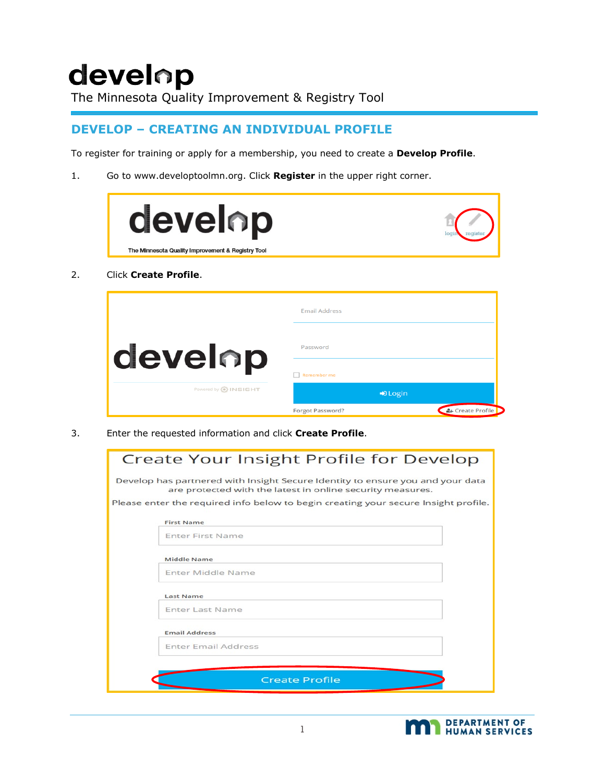# develop

The Minnesota Quality Improvement & Registry Tool

#### **DEVELOP – CREATING AN INDIVIDUAL PROFILE**

To register for training or apply for a membership, you need to create a **Develop Profile**.

1. Go to www.developtoolmn.org. Click **Register** in the upper right corner.

| develop                                           |  |
|---------------------------------------------------|--|
| The Minnesota Quality Improvement & Registry Tool |  |

2. Click **Create Profile**.

|                             | <b>Email Address</b>     |                |
|-----------------------------|--------------------------|----------------|
| <b>develop</b>              | Password                 |                |
|                             | Remember me              |                |
| Powered by <b>O</b> INSIGHT | $\bigtriangledown$ Login |                |
|                             | <b>Forgot Password?</b>  | Create Profile |

3. Enter the requested information and click **Create Profile**.

| Create Your Insight Profile for Develop                                                                                                      |
|----------------------------------------------------------------------------------------------------------------------------------------------|
| Develop has partnered with Insight Secure Identity to ensure you and your data<br>are protected with the latest in online security measures. |
| Please enter the required info below to begin creating your secure Insight profile.                                                          |
| <b>First Name</b>                                                                                                                            |
| <b>Enter First Name</b>                                                                                                                      |
| Middle Name                                                                                                                                  |
| Enter Middle Name                                                                                                                            |
| Last Name                                                                                                                                    |
| Enter Last Name                                                                                                                              |
| <b>Email Address</b>                                                                                                                         |
| <b>Enter Email Address</b>                                                                                                                   |
|                                                                                                                                              |
| <b>Create Profile</b>                                                                                                                        |

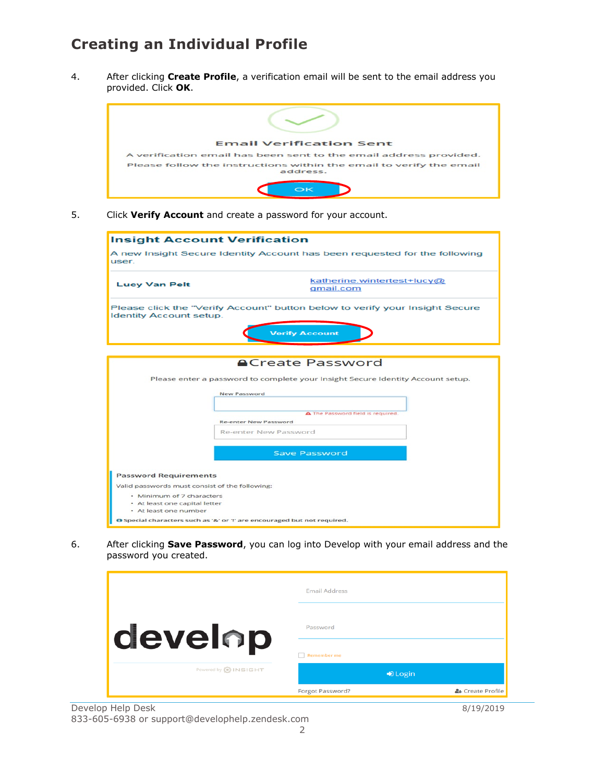### **Creating an Individual Profile**

4. After clicking **Create Profile**, a verification email will be sent to the email address you provided. Click **OK**.



5. Click **Verify Account** and create a password for your account.

| <b>Insight Account Verification</b>            |                                                                                                                            |  |
|------------------------------------------------|----------------------------------------------------------------------------------------------------------------------------|--|
| user.                                          | A new Insight Secure Identity Account has been requested for the following                                                 |  |
| <b>Lucy Van Pelt</b>                           | katherine.wintertest+lucy@<br>qmail.com                                                                                    |  |
| <b>Identity Account setup.</b>                 | Please click the "Verify Account" button below to verify your Insight Secure<br><b>Verify Account</b>                      |  |
|                                                |                                                                                                                            |  |
|                                                |                                                                                                                            |  |
|                                                | <b>ACreate Password</b><br>Please enter a password to complete your Insight Secure Identity Account setup.<br>New Password |  |
|                                                | A The Password field is required.<br><b>Re-enter New Password</b>                                                          |  |
|                                                | Re-enter New Password                                                                                                      |  |
|                                                | <b>Save Password</b>                                                                                                       |  |
| <b>Password Requirements</b>                   |                                                                                                                            |  |
| Valid passwords must consist of the following: |                                                                                                                            |  |
| • Minimum of 7 characters                      |                                                                                                                            |  |
| • At least one number                          | • At least one capital letter                                                                                              |  |
|                                                | <b>O</b> Special characters such as '&' or '!' are encouraged but not required.                                            |  |

6. After clicking **Save Password**, you can log into Develop with your email address and the password you created.

|                        | <b>Email Address</b>     |                  |
|------------------------|--------------------------|------------------|
| <b>develop</b>         | Password                 |                  |
|                        | <b>Remember me</b>       |                  |
| Powered by (a) INSIGHT | $\bigtriangledown$ Login |                  |
|                        | <b>Forgot Password?</b>  | ዲ Create Profile |

Develop Help Desk 8/19/2019 833-605-6938 or support@develophelp.zendesk.com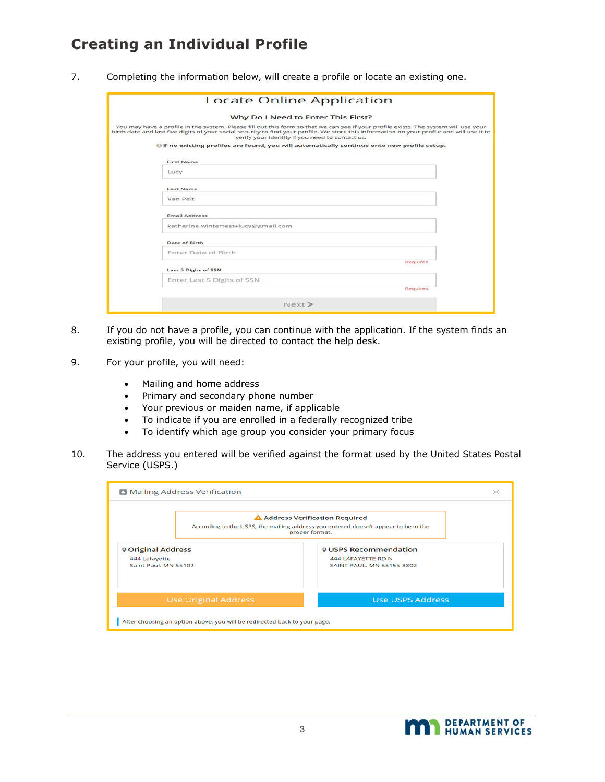### **Creating an Individual Profile**

7. Completing the information below, will create a profile or locate an existing one.

| <b>Locate Online Application</b>                                                                                                                                                                                                                                                                                                     |  |
|--------------------------------------------------------------------------------------------------------------------------------------------------------------------------------------------------------------------------------------------------------------------------------------------------------------------------------------|--|
| Why Do I Need to Enter This First?                                                                                                                                                                                                                                                                                                   |  |
| You may have a profile in the system. Please fill out this form so that we can see if your profile exists. The system will use your<br>birth date and last five digits of your social security to find your profile. We store this information on your profile and will use it to<br>verify your identity if you need to contact us. |  |
| of no existing profiles are found, you will automatically continue onto new profile setup.                                                                                                                                                                                                                                           |  |
| <b>First Name</b>                                                                                                                                                                                                                                                                                                                    |  |
| Lucy                                                                                                                                                                                                                                                                                                                                 |  |
| <b>Last Name</b>                                                                                                                                                                                                                                                                                                                     |  |
| Van Pelt                                                                                                                                                                                                                                                                                                                             |  |
| <b>Email Address</b>                                                                                                                                                                                                                                                                                                                 |  |
| katherine.wintertest+lucy@gmail.com                                                                                                                                                                                                                                                                                                  |  |
| Date of Birth                                                                                                                                                                                                                                                                                                                        |  |
| Enter Date of Birth                                                                                                                                                                                                                                                                                                                  |  |
| Required<br><b>Last 5 Digits of SSN</b>                                                                                                                                                                                                                                                                                              |  |
| Enter Last 5 Digits of SSN                                                                                                                                                                                                                                                                                                           |  |
| Required                                                                                                                                                                                                                                                                                                                             |  |
| Next >                                                                                                                                                                                                                                                                                                                               |  |

- 8. If you do not have a profile, you can continue with the application. If the system finds an existing profile, you will be directed to contact the help desk.
- 9. For your profile, you will need:
	- Mailing and home address
	- Primary and secondary phone number
	- Your previous or maiden name, if applicable
	- To indicate if you are enrolled in a federally recognized tribe
	- To identify which age group you consider your primary focus
- 10. The address you entered will be verified against the format used by the United States Postal Service (USPS.)

|                                                                    | <b>B</b> Mailing Address Verification                                     |                                                                                                                                         | $\times$ |
|--------------------------------------------------------------------|---------------------------------------------------------------------------|-----------------------------------------------------------------------------------------------------------------------------------------|----------|
|                                                                    |                                                                           | A Address Verification Required<br>According to the USPS, the mailing address you entered doesn't appear to be in the<br>proper format. |          |
| <b>♥ Original Address</b><br>444 Lafayette<br>Saint Paul, MN 55102 |                                                                           | <b>VUSPS Recommendation</b><br>444 LAFAYETTE RD N<br>SAINT PAUL, MN 55155-3802                                                          |          |
|                                                                    | <b>Use Original Address</b>                                               | <b>Use USPS Address</b>                                                                                                                 |          |
|                                                                    | After choosing an option above, you will be redirected back to your page. |                                                                                                                                         |          |